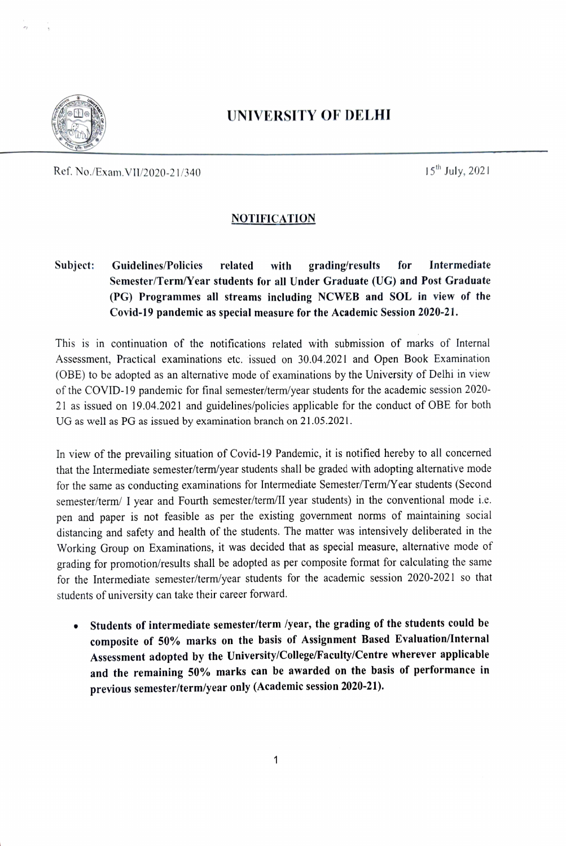

## UNIVERsITY OF DELHI

Ref. No./Exam. VII/2020-21/340 15<sup>th</sup> July, 2021

## **NOTIFICATION**

Subject: Guidelines/Policies related with grading/results for Intermediate Semester/Term/Year students for all Under Graduate (UG) and Post Graduate (PG) Programmes all streams including NCWEB and SOL in view of the Covid-19 pandemic as special measure for the Academie Session 2020-21.

This is in continuation of the notifications related with submission of marks of Internal Assessment, Practical examinations etc. issued on 30.04.2021 and Open Book Examination (OBE) to be adopted as an alternative mode of examinations by the University of Delhi in view of the COVID-19 pandemic for final semester/term/year students for the academic session 2020- 21 as issued on 19.04.2021 and guidelines/policies applicable for the conduct of OBE for both UG as well as PG as issued by examination branch on 21.05.2021.

In view of the prevailing situation of Covid-19 Pandemic, it is notified hercby to all concemed that the Intermediate semester/term/year students shall be graded with adopting alternative mode for the same as conducting examinations for Intermediate Semester/Term/Y ear students (Second semester/term/ I year and Fourth semester/term/Il year students) in the conventional mode i.e. pen and paper is not feasible as per the existing government norms of maintaining social distancing and safety and health of the students. The matter was intensively deliberated in the Working Group on Examinations, it was decided that as special measure, alternative mode of grading for promotion/results shall be adopted as per composite format for calculating the same for the Intermediate semester/term/year students for the academic session 2020-2021 so that students of university can take their career forward.

.Students of intermediate semester/term /year, the grading of the students could be composite of 50% marks on the basis of Assignment Based Evaluation/Internal Assessment adopted by the University/Colege/Faculty/Centre wherever applicable and the remaining 50% marks can be awarded on the basis of performance in previous semester/term/year only (Academic session 2020-21).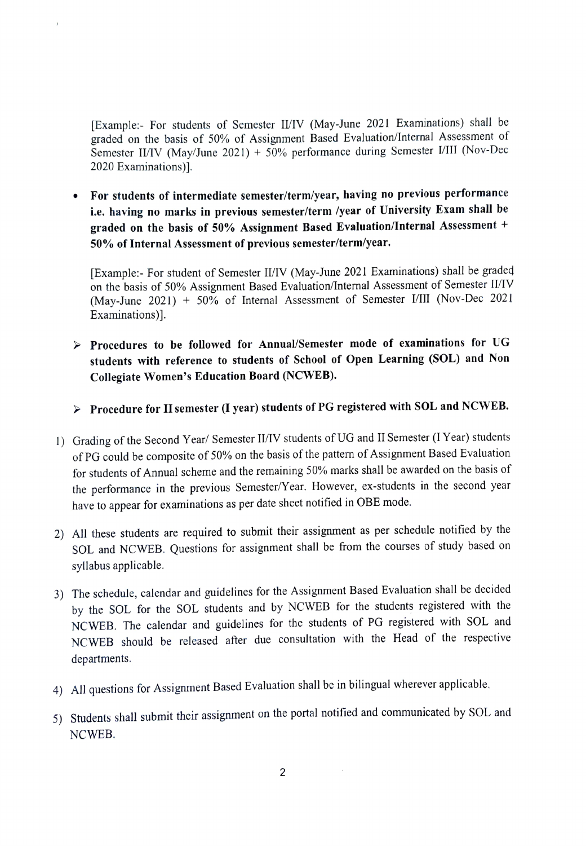Example:- For students of Semester I/TV (May-June 2021 Examinations) shall be graded on the basis of 50% of Assignment Based Evaluation/Internal Assessment of Semester II/IV (May/June 2021) + 50% performance during Semester I/III (Nov-Dec 2020 Examinations)].

.For students of intermediate semester/term/year, having no previous performance ie. having no marks in previous semester/term /year of University Exam shall be graded on the basis of 50% Assignment Based Evaluation/Internal Assessment <sup>+</sup> 50% of Internal Assessment of previous semester/term/year.

[Example:- For student of Semester II/IV (May-June 2021 Examinations) shall be graded on the basis of 50% Assignment Based Evaluation/lnternal Assessment of Semester I/TV (May-June 2021) + 50% of Intemal Assessment of Semester VlII (Nov-Dec 2021 Examinations)].

 $\triangleright$  Procedures to be followed for Annual/Semester mode of examinations for UG students with reference to students of School of Open Learning (SOL) and Non Collegiate Women's Education Board (NCWEB).

 $\triangleright$  Procedure for II semester (I year) students of PG registered with SOL and NCWEB.

- 1) Grading of the Second Year/ Semester II/IV students of UG and II Semester (I Year) students of PG could be composite of 50% on the basis of the pattern of Assignment Based Evaluation for students of Annual scheme and the remaining 50% marks shall be awarded on the basis of the performance in the previous Semester/Y ear. However, ex-students in the second year have to appear for examinations as per date sheet notified in OBE mode.
- 2) All these students are required to submit their assignment as per schedule notified by the SOL and NCWEB. Questions for assignment shall be from the courses of study based on syllabus applicable.
- 3) The schedule, calendar and guidelines for the Assignment Based Evaluation shall be decided by the SOL for the SOL students and by NCWEB for the students registered with the NCWEB. The calendar and guidelines for the students of PG registered with SOL and NCWEB should be released after due consultation with the Head of the respective departments.
- 4) All questions for Assignment Based Evaluation shall be in bilingual wherever applicable.
- 5) Students shall submit their assignment on the portal notified and communicated by SOL and NCWEB.